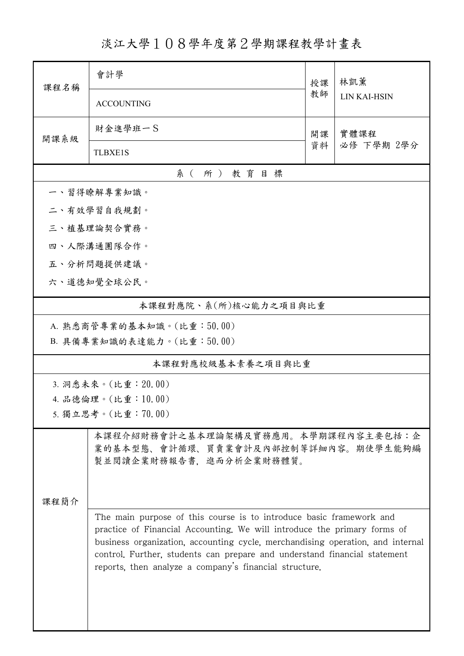淡江大學108學年度第2學期課程教學計畫表

| 課程名稱                                                                                                  | 會計學                                                                                                                                                                                                                                                                                                            | 授課       | 林凱薰<br>LIN KAI-HSIN |  |  |  |  |  |
|-------------------------------------------------------------------------------------------------------|----------------------------------------------------------------------------------------------------------------------------------------------------------------------------------------------------------------------------------------------------------------------------------------------------------------|----------|---------------------|--|--|--|--|--|
|                                                                                                       | <b>ACCOUNTING</b>                                                                                                                                                                                                                                                                                              | 教師       |                     |  |  |  |  |  |
|                                                                                                       | 財金進學班一S                                                                                                                                                                                                                                                                                                        | 開課<br>資料 | 實體課程<br>必修 下學期 2學分  |  |  |  |  |  |
| 開課系級                                                                                                  | <b>TLBXE1S</b>                                                                                                                                                                                                                                                                                                 |          |                     |  |  |  |  |  |
| 系(所)教育目標                                                                                              |                                                                                                                                                                                                                                                                                                                |          |                     |  |  |  |  |  |
| 一、習得瞭解專業知識。                                                                                           |                                                                                                                                                                                                                                                                                                                |          |                     |  |  |  |  |  |
| 二、有效學習自我規劃。                                                                                           |                                                                                                                                                                                                                                                                                                                |          |                     |  |  |  |  |  |
| 三、植基理論契合實務。                                                                                           |                                                                                                                                                                                                                                                                                                                |          |                     |  |  |  |  |  |
|                                                                                                       | 四、人際溝通團隊合作。                                                                                                                                                                                                                                                                                                    |          |                     |  |  |  |  |  |
|                                                                                                       | 五、分析問題提供建議。                                                                                                                                                                                                                                                                                                    |          |                     |  |  |  |  |  |
|                                                                                                       | 六、道德知覺全球公民。                                                                                                                                                                                                                                                                                                    |          |                     |  |  |  |  |  |
| 本課程對應院、系(所)核心能力之項目與比重                                                                                 |                                                                                                                                                                                                                                                                                                                |          |                     |  |  |  |  |  |
|                                                                                                       | A. 熟悉商管專業的基本知識。(比重:50.00)                                                                                                                                                                                                                                                                                      |          |                     |  |  |  |  |  |
|                                                                                                       | B. 具備專業知識的表達能力。(比重:50.00)                                                                                                                                                                                                                                                                                      |          |                     |  |  |  |  |  |
|                                                                                                       | 本課程對應校級基本素養之項目與比重                                                                                                                                                                                                                                                                                              |          |                     |  |  |  |  |  |
|                                                                                                       | 3. 洞悉未來。(比重: 20.00)                                                                                                                                                                                                                                                                                            |          |                     |  |  |  |  |  |
|                                                                                                       | 4. 品德倫理。(比重:10.00)                                                                                                                                                                                                                                                                                             |          |                     |  |  |  |  |  |
|                                                                                                       | 5. 獨立思考。(比重: 70.00)                                                                                                                                                                                                                                                                                            |          |                     |  |  |  |  |  |
| 本課程介紹財務會計之基本理論架構及實務應用。本學期課程內容主要包括:企<br>業的基本型態、會計循環、買賣業會計及內部控制等詳細內容。期使學生能夠編<br>製並閱讀企業財務報告書,進而分析企業財務體質。 |                                                                                                                                                                                                                                                                                                                |          |                     |  |  |  |  |  |
| 课程简介                                                                                                  |                                                                                                                                                                                                                                                                                                                |          |                     |  |  |  |  |  |
|                                                                                                       | The main purpose of this course is to introduce basic framework and<br>practice of Financial Accounting. We will introduce the primary forms of<br>business organization, accounting cycle, merchandising operation, and internal<br>control. Further, students can prepare and understand financial statement |          |                     |  |  |  |  |  |
|                                                                                                       |                                                                                                                                                                                                                                                                                                                |          |                     |  |  |  |  |  |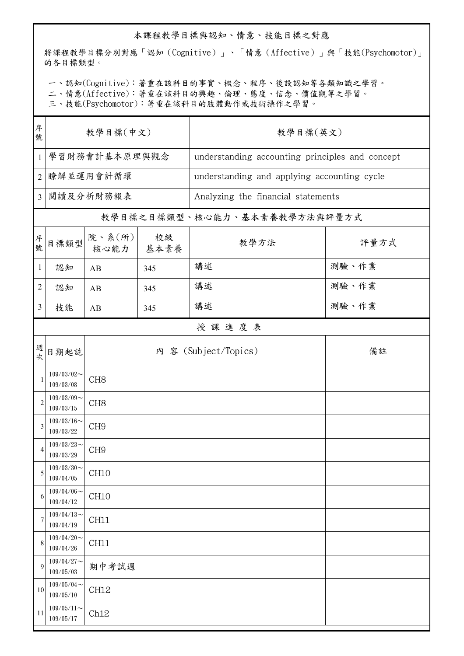## 本課程教學目標與認知、情意、技能目標之對應

將課程教學目標分別對應「認知(Cognitive)」、「情意(Affective)」與「技能(Psychomotor)」 的各目標類型。

一、認知(Cognitive):著重在該科目的事實、概念、程序、後設認知等各類知識之學習。

二、情意(Affective):著重在該科目的興趣、倫理、態度、信念、價值觀等之學習。

三、技能(Psychomotor):著重在該科目的肢體動作或技術操作之學習。

| 序號             | 教學目標(中文)                   |                           |            | 教學目標(英文)                                    |                                                 |  |  |  |
|----------------|----------------------------|---------------------------|------------|---------------------------------------------|-------------------------------------------------|--|--|--|
| $\mathbf{1}$   |                            | 學習財務會計基本原理與觀念             |            |                                             | understanding accounting principles and concept |  |  |  |
| $\overline{2}$ | 瞭解並運用會計循環                  |                           |            | understanding and applying accounting cycle |                                                 |  |  |  |
| $\overline{3}$ | 閲讀及分析財務報表                  |                           |            | Analyzing the financial statements          |                                                 |  |  |  |
|                |                            |                           |            | 教學目標之目標類型、核心能力、基本素養教學方法與評量方式                |                                                 |  |  |  |
| 序號             | 目標類型                       | 院、系 $(\text{ff})$<br>核心能力 | 校級<br>基本素養 | 教學方法                                        | 評量方式                                            |  |  |  |
| $\mathbf{1}$   | 認知                         | AB                        | 345        | 講述                                          | 測驗、作業                                           |  |  |  |
| 2              | 認知                         | AB                        | 345        | 講述                                          | 測驗、作業                                           |  |  |  |
| 3              | 技能                         | AB                        | 345        | 講述                                          | 測驗、作業                                           |  |  |  |
|                | 授課進度表                      |                           |            |                                             |                                                 |  |  |  |
| 週次             | 日期起訖                       |                           |            | 內 容 (Subject/Topics)                        | 備註                                              |  |  |  |
| $\mathbf{1}$   | $109/03/02$ ~<br>109/03/08 | CH <sub>8</sub>           |            |                                             |                                                 |  |  |  |
| $\overline{2}$ | $109/03/09$ ~<br>109/03/15 | CH <sub>8</sub>           |            |                                             |                                                 |  |  |  |
| 3              | $109/03/16$ ~<br>109/03/22 | CH <sub>9</sub>           |            |                                             |                                                 |  |  |  |
| 4              | $109/03/23$ ~<br>109/03/29 | CH <sub>9</sub>           |            |                                             |                                                 |  |  |  |
| 5              | $109/03/30$ ~<br>109/04/05 | CH10                      |            |                                             |                                                 |  |  |  |
| 6              | $109/04/06$ ~<br>109/04/12 | CH10                      |            |                                             |                                                 |  |  |  |
| 7              | $109/04/13$ ~<br>109/04/19 | CH11                      |            |                                             |                                                 |  |  |  |
| 8              | $109/04/20$ ~<br>109/04/26 | CH11                      |            |                                             |                                                 |  |  |  |
| 9              | $109/04/27$ ~<br>109/05/03 | 期中考試週                     |            |                                             |                                                 |  |  |  |
| 10             | $109/05/04$ ~<br>109/05/10 | CH12                      |            |                                             |                                                 |  |  |  |
| 11             | $109/05/11$ ~<br>109/05/17 | Ch12                      |            |                                             |                                                 |  |  |  |